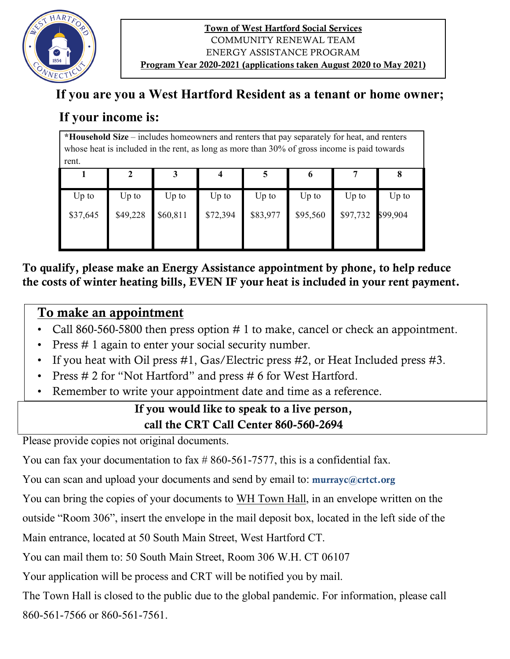

#### Town of West Hartford Social Services COMMUNITY RENEWAL TEAM ENERGY ASSISTANCE PROGRAM Program Year 2020-2021 (applications taken August 2020 to May 2021)

## **If you are you a West Hartford Resident as a tenant or home owner;**

# **If your income is:**

**\*Household Size** – includes homeowners and renters that pay separately for heat, and renters whose heat is included in the rent, as long as more than 30% of gross income is paid towards rent.

|          |          |          |          |          | $\mathbf o$ |                   |         |
|----------|----------|----------|----------|----------|-------------|-------------------|---------|
| Up to    | $Up$ to  | $Up$ to  | $Up$ to  | $Up$ to  | $Up$ to     | $Up$ to           | $Up$ to |
| \$37,645 | \$49,228 | \$60,811 | \$72,394 | \$83,977 | \$95,560    | \$97,732 \$99,904 |         |

To qualify, please make an Energy Assistance appointment by phone, to help reduce the costs of winter heating bills, EVEN IF your heat is included in your rent payment.

## To make an appointment

- Call 860-560-5800 then press option # 1 to make, cancel or check an appointment.
- Press # 1 again to enter your social security number.
- If you heat with Oil press #1, Gas/Electric press #2, or Heat Included press #3.
- Press # 2 for "Not Hartford" and press # 6 for West Hartford.
- Remember to write your appointment date and time as a reference.

### If you would like to speak to a live person, call the CRT Call Center 860-560-2694

Please provide copies not original documents.

You can fax your documentation to fax #860-561-7577, this is a confidential fax.

You can scan and upload your documents and send by email to: murrayc@crtct.org

You can bring the copies of your documents to WH Town Hall, in an envelope written on the

outside "Room 306", insert the envelope in the mail deposit box, located in the left side of the

Main entrance, located at 50 South Main Street, West Hartford CT.

You can mail them to: 50 South Main Street, Room 306 W.H. CT 06107

Your application will be process and CRT will be notified you by mail.

The Town Hall is closed to the public due to the global pandemic. For information, please call 860-561-7566 or 860-561-7561.